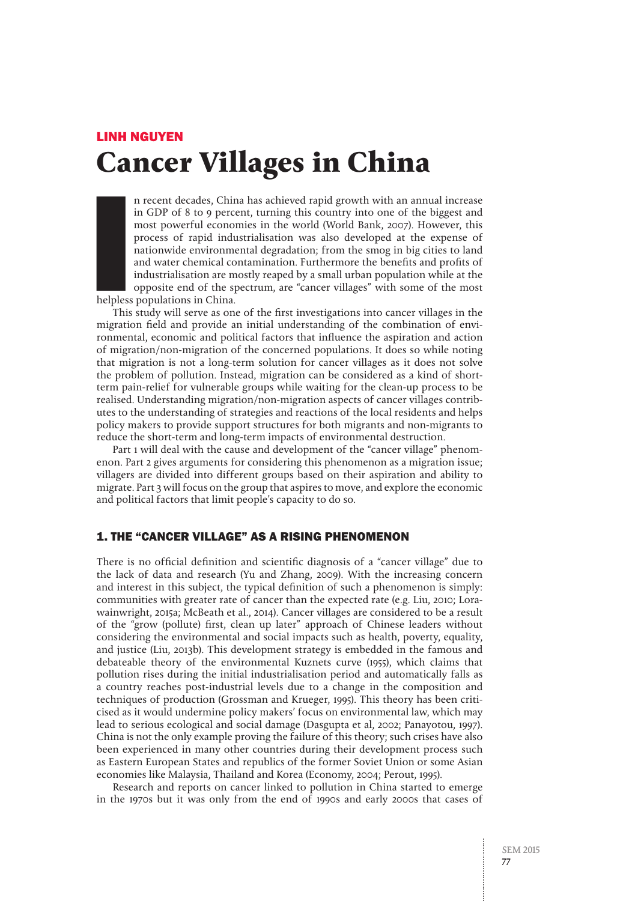# LINH NGUYEN **Cancer Villages in China**

Index of the Marian School and Tables<br>In this case of the Marian School and Tables<br>In the Marian School and Tables of the Maria School and Tables and Tables and School and Tables and School and<br>International School and Tab n recent decades, China has achieved rapid growth with an annual increase in GDP of 8 to 9 percent, turning this country into one of the biggest and most powerful economies in the world (World Bank, 2007). However, this process of rapid industrialisation was also developed at the expense of nationwide environmental degradation; from the smog in big cities to land and water chemical contamination. Furthermore the benefits and profits of industrialisation are mostly reaped by a small urban population while at the opposite end of the spectrum, are "cancer villages" with some of the most helpless populations in China.

This study will serve as one of the first investigations into cancer villages in the migration field and provide an initial understanding of the combination of environmental, economic and political factors that influence the aspiration and action of migration/non-migration of the concerned populations. It does so while noting that migration is not a long-term solution for cancer villages as it does not solve the problem of pollution. Instead, migration can be considered as a kind of shortterm pain-relief for vulnerable groups while waiting for the clean-up process to be realised. Understanding migration/non-migration aspects of cancer villages contributes to the understanding of strategies and reactions of the local residents and helps policy makers to provide support structures for both migrants and non-migrants to reduce the short-term and long-term impacts of environmental destruction.

Part 1 will deal with the cause and development of the "cancer village" phenomenon. Part 2 gives arguments for considering this phenomenon as a migration issue; villagers are divided into different groups based on their aspiration and ability to migrate. Part 3 will focus on the group that aspires to move, and explore the economic and political factors that limit people's capacity to do so.

## 1. THE "CANCER VILLAGE" AS A RISING PHENOMENON

There is no official definition and scientific diagnosis of a "cancer village" due to the lack of data and research (Yu and Zhang, 2009). With the increasing concern and interest in this subject, the typical definition of such a phenomenon is simply: communities with greater rate of cancer than the expected rate (e.g. Liu, 2010; Lorawainwright, 2015a; McBeath et al., 2014). Cancer villages are considered to be a result of the "grow (pollute) first, clean up later" approach of Chinese leaders without considering the environmental and social impacts such as health, poverty, equality, and justice (Liu, 2013b). This development strategy is embedded in the famous and debateable theory of the environmental Kuznets curve (1955), which claims that pollution rises during the initial industrialisation period and automatically falls as a country reaches post-industrial levels due to a change in the composition and techniques of production (Grossman and Krueger, 1995). This theory has been criticised as it would undermine policy makers' focus on environmental law, which may lead to serious ecological and social damage (Dasgupta et al, 2002; Panayotou, 1997). China is not the only example proving the failure of this theory; such crises have also been experienced in many other countries during their development process such as Eastern European States and republics of the former Soviet Union or some Asian economies like Malaysia, Thailand and Korea (Economy, 2004; Perout, 1995).

Research and reports on cancer linked to pollution in China started to emerge in the 1970s but it was only from the end of 1990s and early 2000s that cases of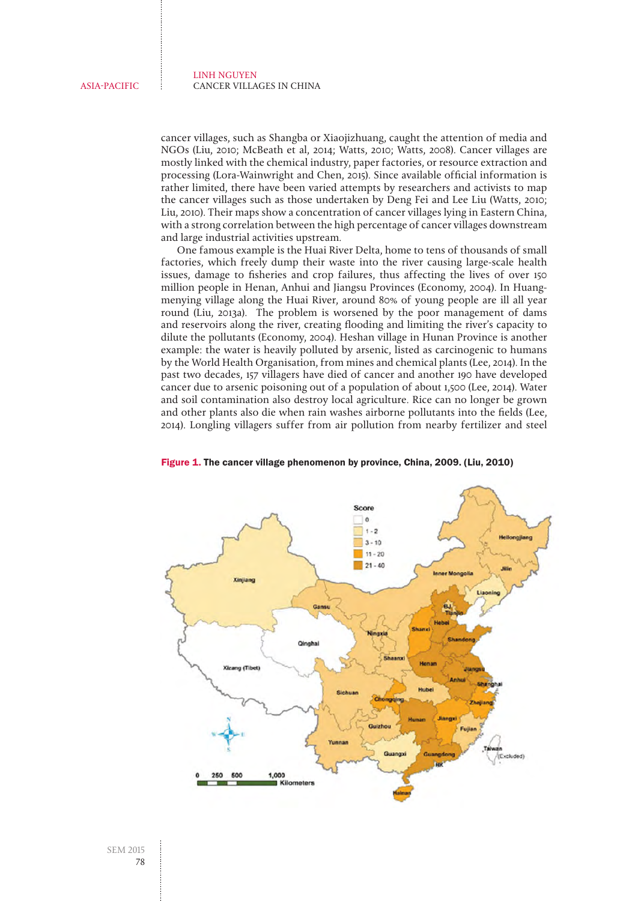cancer villages, such as Shangba or Xiaojizhuang, caught the attention of media and NGOs (Liu, 2010; McBeath et al, 2014; Watts, 2010; Watts, 2008). Cancer villages are mostly linked with the chemical industry, paper factories, or resource extraction and processing (Lora-Wainwright and Chen, 2015). Since available official information is rather limited, there have been varied attempts by researchers and activists to map the cancer villages such as those undertaken by Deng Fei and Lee Liu (Watts, 2010; Liu, 2010). Their maps show a concentration of cancer villages lying in Eastern China, with a strong correlation between the high percentage of cancer villages downstream and large industrial activities upstream.

One famous example is the Huai River Delta, home to tens of thousands of small factories, which freely dump their waste into the river causing large-scale health issues, damage to fisheries and crop failures, thus affecting the lives of over 150 million people in Henan, Anhui and Jiangsu Provinces (Economy, 2004). In Huangmenying village along the Huai River, around 80% of young people are ill all year round (Liu, 2013a). The problem is worsened by the poor management of dams and reservoirs along the river, creating flooding and limiting the river's capacity to dilute the pollutants (Economy, 2004). Heshan village in Hunan Province is another example: the water is heavily polluted by arsenic, listed as carcinogenic to humans by the World Health Organisation, from mines and chemical plants (Lee, 2014). In the past two decades, 157 villagers have died of cancer and another 190 have developed cancer due to arsenic poisoning out of a population of about 1,500 (Lee, 2014). Water and soil contamination also destroy local agriculture. Rice can no longer be grown and other plants also die when rain washes airborne pollutants into the fields (Lee, 2014). Longling villagers suffer from air pollution from nearby fertilizer and steel



Figure 1. The cancer village phenomenon by province, China, 2009. (Liu, 2010)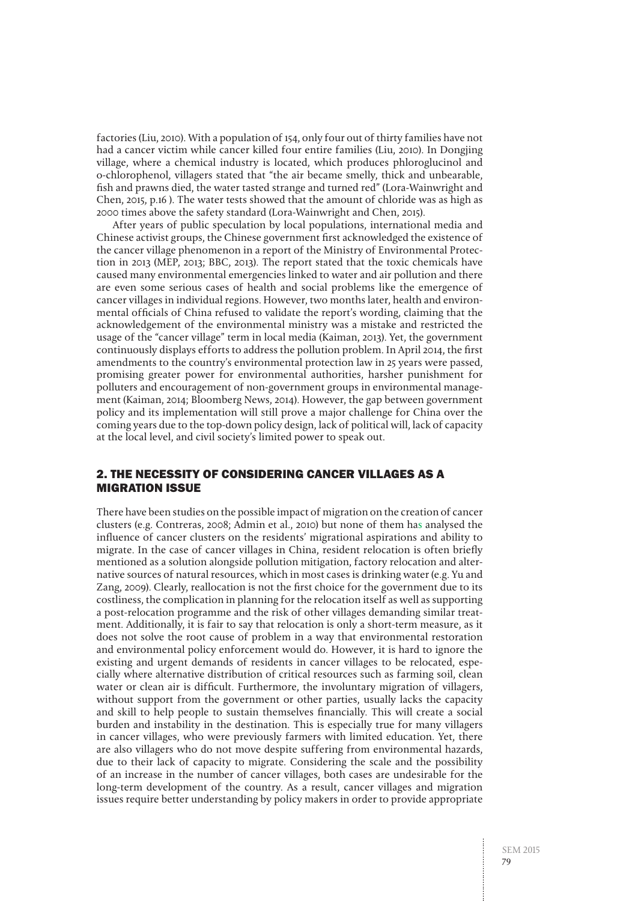factories (Liu, 2010). With a population of 154, only four out of thirty families have not had a cancer victim while cancer killed four entire families (Liu, 2010). In Dongjing village, where a chemical industry is located, which produces phloroglucinol and o-chlorophenol, villagers stated that "the air became smelly, thick and unbearable, fish and prawns died, the water tasted strange and turned red" (Lora-Wainwright and Chen, 2015, p.16 ). The water tests showed that the amount of chloride was as high as 2000 times above the safety standard (Lora-Wainwright and Chen, 2015).

After years of public speculation by local populations, international media and Chinese activist groups, the Chinese government first acknowledged the existence of the cancer village phenomenon in a report of the Ministry of Environmental Protection in 2013 (MEP, 2013; BBC, 2013). The report stated that the toxic chemicals have caused many environmental emergencies linked to water and air pollution and there are even some serious cases of health and social problems like the emergence of cancer villages in individual regions. However, two months later, health and environmental officials of China refused to validate the report's wording, claiming that the acknowledgement of the environmental ministry was a mistake and restricted the usage of the "cancer village" term in local media (Kaiman, 2013). Yet, the government continuously displays efforts to address the pollution problem. In April 2014, the first amendments to the country's environmental protection law in 25 years were passed, promising greater power for environmental authorities, harsher punishment for polluters and encouragement of non-government groups in environmental management (Kaiman, 2014; Bloomberg News, 2014). However, the gap between government policy and its implementation will still prove a major challenge for China over the coming years due to the top-down policy design, lack of political will, lack of capacity at the local level, and civil society's limited power to speak out.

## 2. THE NECESSITY OF CONSIDERING CANCER VILLAGES AS A MIGRATION ISSUE

There have been studies on the possible impact of migration on the creation of cancer clusters (e.g. Contreras, 2008; Admin et al., 2010) but none of them has analysed the influence of cancer clusters on the residents' migrational aspirations and ability to migrate. In the case of cancer villages in China, resident relocation is often briefly mentioned as a solution alongside pollution mitigation, factory relocation and alternative sources of natural resources, which in most cases is drinking water (e.g. Yu and Zang, 2009). Clearly, reallocation is not the first choice for the government due to its costliness, the complication in planning for the relocation itself as well as supporting a post-relocation programme and the risk of other villages demanding similar treatment. Additionally, it is fair to say that relocation is only a short-term measure, as it does not solve the root cause of problem in a way that environmental restoration and environmental policy enforcement would do. However, it is hard to ignore the existing and urgent demands of residents in cancer villages to be relocated, especially where alternative distribution of critical resources such as farming soil, clean water or clean air is difficult. Furthermore, the involuntary migration of villagers, without support from the government or other parties, usually lacks the capacity and skill to help people to sustain themselves financially. This will create a social burden and instability in the destination. This is especially true for many villagers in cancer villages, who were previously farmers with limited education. Yet, there are also villagers who do not move despite suffering from environmental hazards, due to their lack of capacity to migrate. Considering the scale and the possibility of an increase in the number of cancer villages, both cases are undesirable for the long-term development of the country. As a result, cancer villages and migration issues require better understanding by policy makers in order to provide appropriate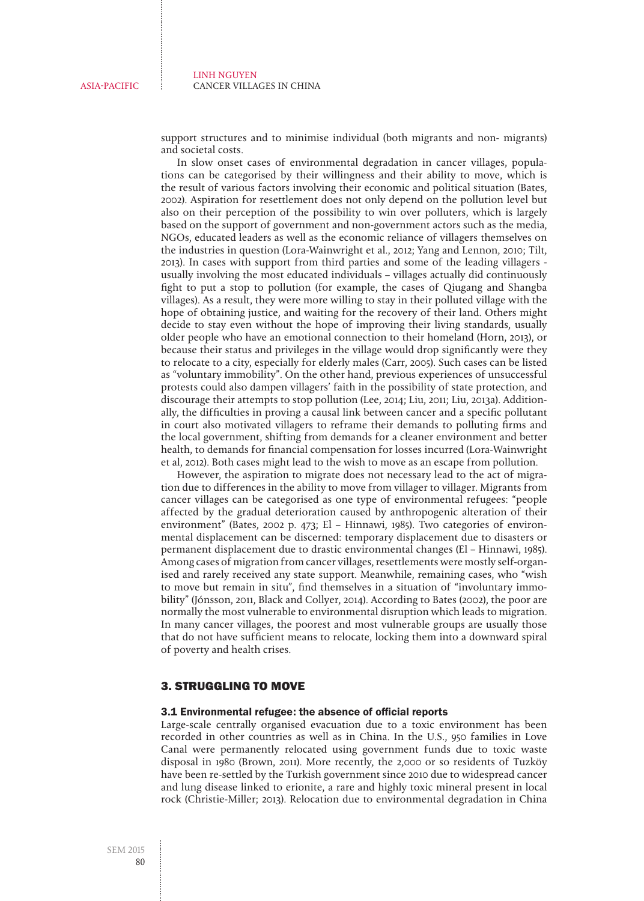support structures and to minimise individual (both migrants and non- migrants) and societal costs.

In slow onset cases of environmental degradation in cancer villages, populations can be categorised by their willingness and their ability to move, which is the result of various factors involving their economic and political situation (Bates, 2002). Aspiration for resettlement does not only depend on the pollution level but also on their perception of the possibility to win over polluters, which is largely based on the support of government and non-government actors such as the media, NGOs, educated leaders as well as the economic reliance of villagers themselves on the industries in question (Lora-Wainwright et al., 2012; Yang and Lennon, 2010; Tilt, 2013). In cases with support from third parties and some of the leading villagers usually involving the most educated individuals – villages actually did continuously fight to put a stop to pollution (for example, the cases of Qiugang and Shangba villages). As a result, they were more willing to stay in their polluted village with the hope of obtaining justice, and waiting for the recovery of their land. Others might decide to stay even without the hope of improving their living standards, usually older people who have an emotional connection to their homeland (Horn, 2013), or because their status and privileges in the village would drop significantly were they to relocate to a city, especially for elderly males (Carr, 2005). Such cases can be listed as "voluntary immobility". On the other hand, previous experiences of unsuccessful protests could also dampen villagers' faith in the possibility of state protection, and discourage their attempts to stop pollution (Lee, 2014; Liu, 2011; Liu, 2013a). Additionally, the difficulties in proving a causal link between cancer and a specific pollutant in court also motivated villagers to reframe their demands to polluting firms and the local government, shifting from demands for a cleaner environment and better health, to demands for financial compensation for losses incurred (Lora-Wainwright et al, 2012). Both cases might lead to the wish to move as an escape from pollution.

However, the aspiration to migrate does not necessary lead to the act of migration due to differences in the ability to move from villager to villager. Migrants from cancer villages can be categorised as one type of environmental refugees: "people affected by the gradual deterioration caused by anthropogenic alteration of their environment" (Bates, 2002 p. 473; El – Hinnawi, 1985). Two categories of environmental displacement can be discerned: temporary displacement due to disasters or permanent displacement due to drastic environmental changes (El – Hinnawi, 1985). Among cases of migration from cancer villages, resettlements were mostly self-organised and rarely received any state support. Meanwhile, remaining cases, who "wish to move but remain in situ", find themselves in a situation of "involuntary immobility" (Jónsson, 2011, Black and Collyer, 2014). According to Bates (2002), the poor are normally the most vulnerable to environmental disruption which leads to migration. In many cancer villages, the poorest and most vulnerable groups are usually those that do not have sufficient means to relocate, locking them into a downward spiral of poverty and health crises.

## 3. STRUGGLING TO MOVE

## 3.1 Environmental refugee: the absence of official reports

Large-scale centrally organised evacuation due to a toxic environment has been recorded in other countries as well as in China. In the U.S., 950 families in Love Canal were permanently relocated using government funds due to toxic waste disposal in 1980 (Brown, 2011). More recently, the 2,000 or so residents of Tuzköy have been re-settled by the Turkish government since 2010 due to widespread cancer and lung disease linked to erionite, a rare and highly toxic mineral present in local rock (Christie-Miller; 2013). Relocation due to environmental degradation in China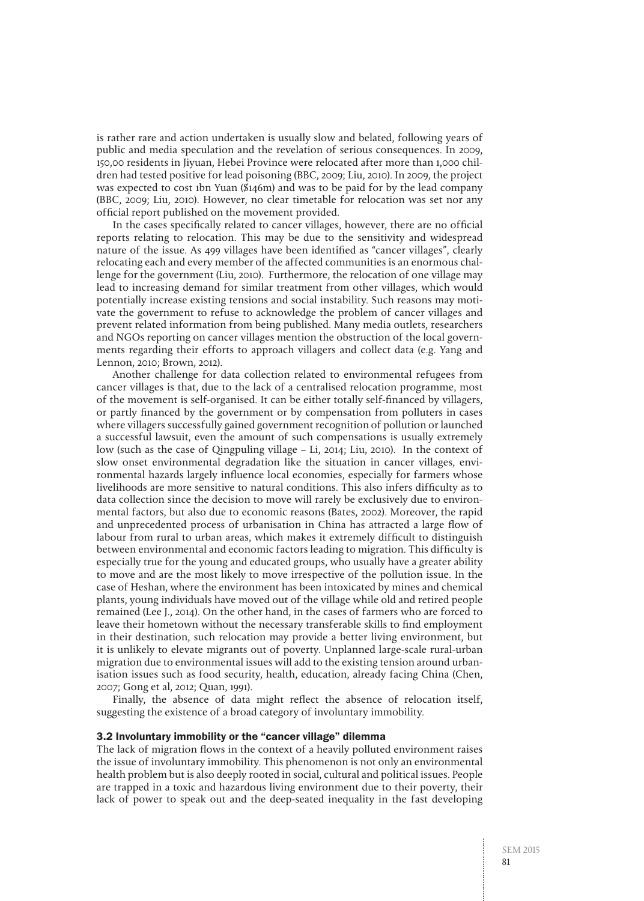is rather rare and action undertaken is usually slow and belated, following years of public and media speculation and the revelation of serious consequences. In 2009, 150,00 residents in Jiyuan, Hebei Province were relocated after more than 1,000 children had tested positive for lead poisoning (BBC, 2009; Liu, 2010). In 2009, the project was expected to cost 1bn Yuan (\$146m) and was to be paid for by the lead company (BBC, 2009; Liu, 2010). However, no clear timetable for relocation was set nor any official report published on the movement provided.

In the cases specifically related to cancer villages, however, there are no official reports relating to relocation. This may be due to the sensitivity and widespread nature of the issue. As 499 villages have been identified as "cancer villages", clearly relocating each and every member of the affected communities is an enormous challenge for the government (Liu, 2010). Furthermore, the relocation of one village may lead to increasing demand for similar treatment from other villages, which would potentially increase existing tensions and social instability. Such reasons may motivate the government to refuse to acknowledge the problem of cancer villages and prevent related information from being published. Many media outlets, researchers and NGOs reporting on cancer villages mention the obstruction of the local governments regarding their efforts to approach villagers and collect data (e.g. Yang and Lennon, 2010; Brown, 2012).

Another challenge for data collection related to environmental refugees from cancer villages is that, due to the lack of a centralised relocation programme, most of the movement is self-organised. It can be either totally self-financed by villagers, or partly financed by the government or by compensation from polluters in cases where villagers successfully gained government recognition of pollution or launched a successful lawsuit, even the amount of such compensations is usually extremely low (such as the case of Qingpuling village – Li, 2014; Liu, 2010). In the context of slow onset environmental degradation like the situation in cancer villages, environmental hazards largely influence local economies, especially for farmers whose livelihoods are more sensitive to natural conditions. This also infers difficulty as to data collection since the decision to move will rarely be exclusively due to environmental factors, but also due to economic reasons (Bates, 2002). Moreover, the rapid and unprecedented process of urbanisation in China has attracted a large flow of labour from rural to urban areas, which makes it extremely difficult to distinguish between environmental and economic factors leading to migration. This difficulty is especially true for the young and educated groups, who usually have a greater ability to move and are the most likely to move irrespective of the pollution issue. In the case of Heshan, where the environment has been intoxicated by mines and chemical plants, young individuals have moved out of the village while old and retired people remained (Lee J., 2014). On the other hand, in the cases of farmers who are forced to leave their hometown without the necessary transferable skills to find employment in their destination, such relocation may provide a better living environment, but it is unlikely to elevate migrants out of poverty. Unplanned large-scale rural-urban migration due to environmental issues will add to the existing tension around urbanisation issues such as food security, health, education, already facing China (Chen, 2007; Gong et al, 2012; Quan, 1991).

Finally, the absence of data might reflect the absence of relocation itself, suggesting the existence of a broad category of involuntary immobility.

## 3.2 Involuntary immobility or the "cancer village" dilemma

The lack of migration flows in the context of a heavily polluted environment raises the issue of involuntary immobility. This phenomenon is not only an environmental health problem but is also deeply rooted in social, cultural and political issues. People are trapped in a toxic and hazardous living environment due to their poverty, their lack of power to speak out and the deep-seated inequality in the fast developing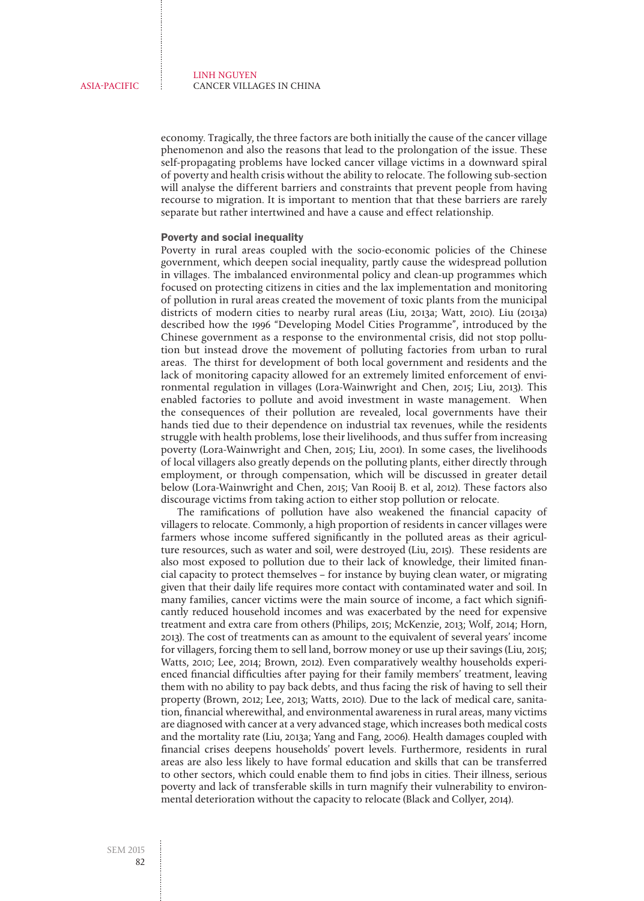economy. Tragically, the three factors are both initially the cause of the cancer village phenomenon and also the reasons that lead to the prolongation of the issue. These self-propagating problems have locked cancer village victims in a downward spiral of poverty and health crisis without the ability to relocate. The following sub-section will analyse the different barriers and constraints that prevent people from having recourse to migration. It is important to mention that that these barriers are rarely separate but rather intertwined and have a cause and effect relationship.

### Poverty and social inequality

Poverty in rural areas coupled with the socio-economic policies of the Chinese government, which deepen social inequality, partly cause the widespread pollution in villages. The imbalanced environmental policy and clean-up programmes which focused on protecting citizens in cities and the lax implementation and monitoring of pollution in rural areas created the movement of toxic plants from the municipal districts of modern cities to nearby rural areas (Liu, 2013a; Watt, 2010). Liu (2013a) described how the 1996 "Developing Model Cities Programme", introduced by the Chinese government as a response to the environmental crisis, did not stop pollution but instead drove the movement of polluting factories from urban to rural areas. The thirst for development of both local government and residents and the lack of monitoring capacity allowed for an extremely limited enforcement of environmental regulation in villages (Lora-Wainwright and Chen, 2015; Liu, 2013). This enabled factories to pollute and avoid investment in waste management. When the consequences of their pollution are revealed, local governments have their hands tied due to their dependence on industrial tax revenues, while the residents struggle with health problems, lose their livelihoods, and thus suffer from increasing poverty (Lora-Wainwright and Chen, 2015; Liu, 2001). In some cases, the livelihoods of local villagers also greatly depends on the polluting plants, either directly through employment, or through compensation, which will be discussed in greater detail below (Lora-Wainwright and Chen, 2015; Van Rooij B. et al, 2012). These factors also discourage victims from taking action to either stop pollution or relocate.

The ramifications of pollution have also weakened the financial capacity of villagers to relocate. Commonly, a high proportion of residents in cancer villages were farmers whose income suffered significantly in the polluted areas as their agriculture resources, such as water and soil, were destroyed (Liu, 2015). These residents are also most exposed to pollution due to their lack of knowledge, their limited financial capacity to protect themselves – for instance by buying clean water, or migrating given that their daily life requires more contact with contaminated water and soil. In many families, cancer victims were the main source of income, a fact which significantly reduced household incomes and was exacerbated by the need for expensive treatment and extra care from others (Philips, 2015; McKenzie, 2013; Wolf, 2014; Horn, 2013). The cost of treatments can as amount to the equivalent of several years' income for villagers, forcing them to sell land, borrow money or use up their savings (Liu, 2015; Watts, 2010; Lee, 2014; Brown, 2012). Even comparatively wealthy households experienced financial difficulties after paying for their family members' treatment, leaving them with no ability to pay back debts, and thus facing the risk of having to sell their property (Brown, 2012; Lee, 2013; Watts, 2010). Due to the lack of medical care, sanitation, financial wherewithal, and environmental awareness in rural areas, many victims are diagnosed with cancer at a very advanced stage, which increases both medical costs and the mortality rate (Liu, 2013a; Yang and Fang, 2006). Health damages coupled with financial crises deepens households' povert levels. Furthermore, residents in rural areas are also less likely to have formal education and skills that can be transferred to other sectors, which could enable them to find jobs in cities. Their illness, serious poverty and lack of transferable skills in turn magnify their vulnerability to environmental deterioration without the capacity to relocate (Black and Collyer, 2014).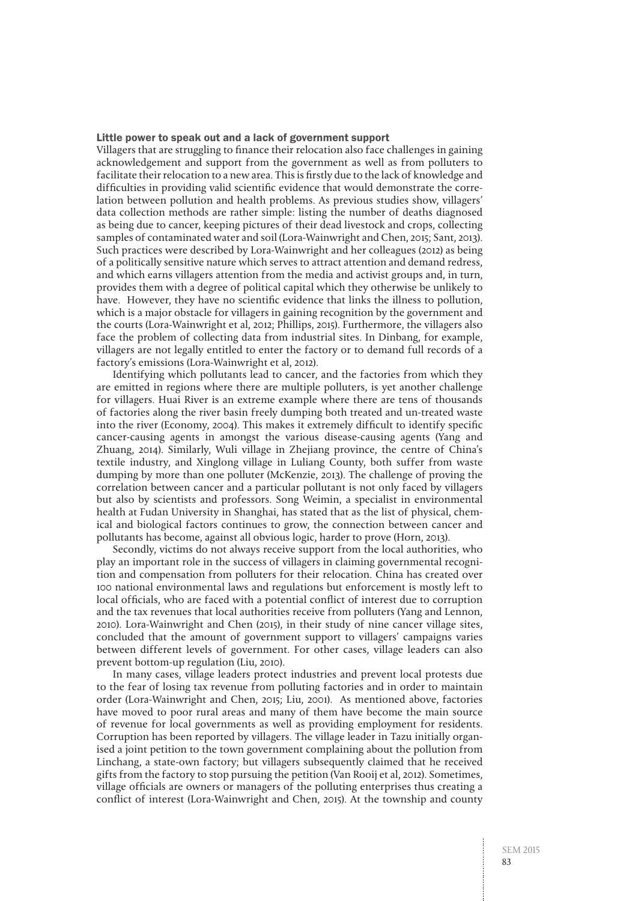#### Little power to speak out and a lack of government support

Villagers that are struggling to finance their relocation also face challenges in gaining acknowledgement and support from the government as well as from polluters to facilitate their relocation to a new area. This is firstly due to the lack of knowledge and difficulties in providing valid scientific evidence that would demonstrate the correlation between pollution and health problems. As previous studies show, villagers' data collection methods are rather simple: listing the number of deaths diagnosed as being due to cancer, keeping pictures of their dead livestock and crops, collecting samples of contaminated water and soil (Lora-Wainwright and Chen, 2015; Sant, 2013). Such practices were described by Lora-Wainwright and her colleagues (2012) as being of a politically sensitive nature which serves to attract attention and demand redress, and which earns villagers attention from the media and activist groups and, in turn, provides them with a degree of political capital which they otherwise be unlikely to have. However, they have no scientific evidence that links the illness to pollution, which is a major obstacle for villagers in gaining recognition by the government and the courts (Lora-Wainwright et al, 2012; Phillips, 2015). Furthermore, the villagers also face the problem of collecting data from industrial sites. In Dinbang, for example, villagers are not legally entitled to enter the factory or to demand full records of a factory's emissions (Lora-Wainwright et al, 2012).

Identifying which pollutants lead to cancer, and the factories from which they are emitted in regions where there are multiple polluters, is yet another challenge for villagers. Huai River is an extreme example where there are tens of thousands of factories along the river basin freely dumping both treated and un-treated waste into the river (Economy, 2004). This makes it extremely difficult to identify specific cancer-causing agents in amongst the various disease-causing agents (Yang and Zhuang, 2014). Similarly, Wuli village in Zhejiang province, the centre of China's textile industry, and Xinglong village in Luliang County, both suffer from waste dumping by more than one polluter (McKenzie, 2013). The challenge of proving the correlation between cancer and a particular pollutant is not only faced by villagers but also by scientists and professors. Song Weimin, a specialist in environmental health at Fudan University in Shanghai, has stated that as the list of physical, chemical and biological factors continues to grow, the connection between cancer and pollutants has become, against all obvious logic, harder to prove (Horn, 2013).

Secondly, victims do not always receive support from the local authorities, who play an important role in the success of villagers in claiming governmental recognition and compensation from polluters for their relocation. China has created over 100 national environmental laws and regulations but enforcement is mostly left to local officials, who are faced with a potential conflict of interest due to corruption and the tax revenues that local authorities receive from polluters (Yang and Lennon, 2010). Lora-Wainwright and Chen (2015), in their study of nine cancer village sites, concluded that the amount of government support to villagers' campaigns varies between different levels of government. For other cases, village leaders can also prevent bottom-up regulation (Liu, 2010).

In many cases, village leaders protect industries and prevent local protests due to the fear of losing tax revenue from polluting factories and in order to maintain order (Lora-Wainwright and Chen, 2015; Liu, 2001). As mentioned above, factories have moved to poor rural areas and many of them have become the main source of revenue for local governments as well as providing employment for residents. Corruption has been reported by villagers. The village leader in Tazu initially organised a joint petition to the town government complaining about the pollution from Linchang, a state-own factory; but villagers subsequently claimed that he received gifts from the factory to stop pursuing the petition (Van Rooij et al, 2012). Sometimes, village officials are owners or managers of the polluting enterprises thus creating a conflict of interest (Lora-Wainwright and Chen, 2015). At the township and county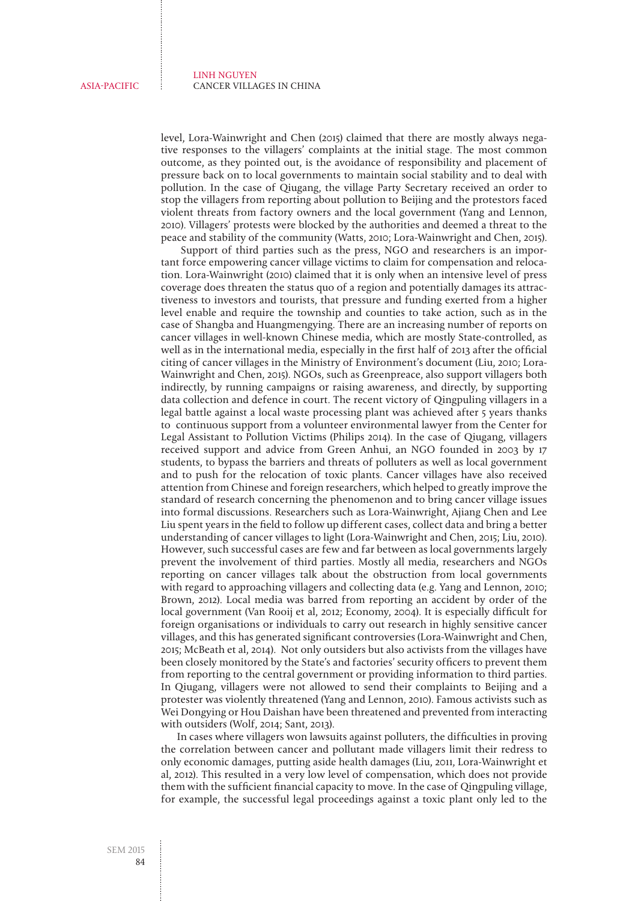level, Lora-Wainwright and Chen (2015) claimed that there are mostly always negative responses to the villagers' complaints at the initial stage. The most common outcome, as they pointed out, is the avoidance of responsibility and placement of pressure back on to local governments to maintain social stability and to deal with pollution. In the case of Qiugang, the village Party Secretary received an order to stop the villagers from reporting about pollution to Beijing and the protestors faced violent threats from factory owners and the local government (Yang and Lennon, 2010). Villagers' protests were blocked by the authorities and deemed a threat to the peace and stability of the community (Watts, 2010; Lora-Wainwright and Chen, 2015).

 Support of third parties such as the press, NGO and researchers is an important force empowering cancer village victims to claim for compensation and relocation. Lora-Wainwright (2010) claimed that it is only when an intensive level of press coverage does threaten the status quo of a region and potentially damages its attractiveness to investors and tourists, that pressure and funding exerted from a higher level enable and require the township and counties to take action, such as in the case of Shangba and Huangmengying. There are an increasing number of reports on cancer villages in well-known Chinese media, which are mostly State-controlled, as well as in the international media, especially in the first half of 2013 after the official citing of cancer villages in the Ministry of Environment's document (Liu, 2010; Lora-Wainwright and Chen, 2015). NGOs, such as Greenpreace, also support villagers both indirectly, by running campaigns or raising awareness, and directly, by supporting data collection and defence in court. The recent victory of Qingpuling villagers in a legal battle against a local waste processing plant was achieved after 5 years thanks to continuous support from a volunteer environmental lawyer from the Center for Legal Assistant to Pollution Victims (Philips 2014). In the case of Qiugang, villagers received support and advice from Green Anhui, an NGO founded in 2003 by 17 students, to bypass the barriers and threats of polluters as well as local government and to push for the relocation of toxic plants. Cancer villages have also received attention from Chinese and foreign researchers, which helped to greatly improve the standard of research concerning the phenomenon and to bring cancer village issues into formal discussions. Researchers such as Lora-Wainwright, Ajiang Chen and Lee Liu spent years in the field to follow up different cases, collect data and bring a better understanding of cancer villages to light (Lora-Wainwright and Chen, 2015; Liu, 2010). However, such successful cases are few and far between as local governments largely prevent the involvement of third parties. Mostly all media, researchers and NGOs reporting on cancer villages talk about the obstruction from local governments with regard to approaching villagers and collecting data (e.g. Yang and Lennon, 2010; Brown, 2012). Local media was barred from reporting an accident by order of the local government (Van Rooij et al, 2012; Economy, 2004). It is especially difficult for foreign organisations or individuals to carry out research in highly sensitive cancer villages, and this has generated significant controversies (Lora-Wainwright and Chen, 2015; McBeath et al, 2014). Not only outsiders but also activists from the villages have been closely monitored by the State's and factories' security officers to prevent them from reporting to the central government or providing information to third parties. In Qiugang, villagers were not allowed to send their complaints to Beijing and a protester was violently threatened (Yang and Lennon, 2010). Famous activists such as Wei Dongying or Hou Daishan have been threatened and prevented from interacting with outsiders (Wolf, 2014; Sant, 2013).

In cases where villagers won lawsuits against polluters, the difficulties in proving the correlation between cancer and pollutant made villagers limit their redress to only economic damages, putting aside health damages (Liu, 2011, Lora-Wainwright et al, 2012). This resulted in a very low level of compensation, which does not provide them with the sufficient financial capacity to move. In the case of Qingpuling village, for example, the successful legal proceedings against a toxic plant only led to the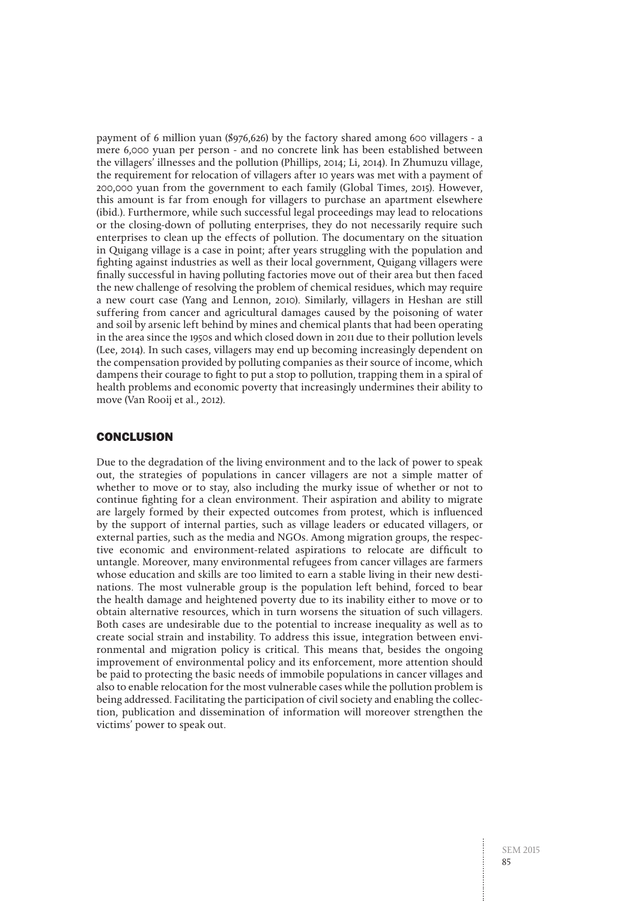payment of 6 million yuan (\$976,626) by the factory shared among 600 villagers - a mere 6,000 yuan per person - and no concrete link has been established between the villagers' illnesses and the pollution (Phillips, 2014; Li, 2014). In Zhumuzu village, the requirement for relocation of villagers after 10 years was met with a payment of 200,000 yuan from the government to each family (Global Times, 2015). However, this amount is far from enough for villagers to purchase an apartment elsewhere (ibid.). Furthermore, while such successful legal proceedings may lead to relocations or the closing-down of polluting enterprises, they do not necessarily require such enterprises to clean up the effects of pollution. The documentary on the situation in Quigang village is a case in point; after years struggling with the population and fighting against industries as well as their local government, Quigang villagers were finally successful in having polluting factories move out of their area but then faced the new challenge of resolving the problem of chemical residues, which may require a new court case (Yang and Lennon, 2010). Similarly, villagers in Heshan are still suffering from cancer and agricultural damages caused by the poisoning of water and soil by arsenic left behind by mines and chemical plants that had been operating in the area since the 1950s and which closed down in 2011 due to their pollution levels (Lee, 2014). In such cases, villagers may end up becoming increasingly dependent on the compensation provided by polluting companies as their source of income, which dampens their courage to fight to put a stop to pollution, trapping them in a spiral of health problems and economic poverty that increasingly undermines their ability to move (Van Rooij et al., 2012).

## **CONCLUSION**

Due to the degradation of the living environment and to the lack of power to speak out, the strategies of populations in cancer villagers are not a simple matter of whether to move or to stay, also including the murky issue of whether or not to continue fighting for a clean environment. Their aspiration and ability to migrate are largely formed by their expected outcomes from protest, which is influenced by the support of internal parties, such as village leaders or educated villagers, or external parties, such as the media and NGOs. Among migration groups, the respective economic and environment-related aspirations to relocate are difficult to untangle. Moreover, many environmental refugees from cancer villages are farmers whose education and skills are too limited to earn a stable living in their new destinations. The most vulnerable group is the population left behind, forced to bear the health damage and heightened poverty due to its inability either to move or to obtain alternative resources, which in turn worsens the situation of such villagers. Both cases are undesirable due to the potential to increase inequality as well as to create social strain and instability. To address this issue, integration between environmental and migration policy is critical. This means that, besides the ongoing improvement of environmental policy and its enforcement, more attention should be paid to protecting the basic needs of immobile populations in cancer villages and also to enable relocation for the most vulnerable cases while the pollution problem is being addressed. Facilitating the participation of civil society and enabling the collection, publication and dissemination of information will moreover strengthen the victims' power to speak out.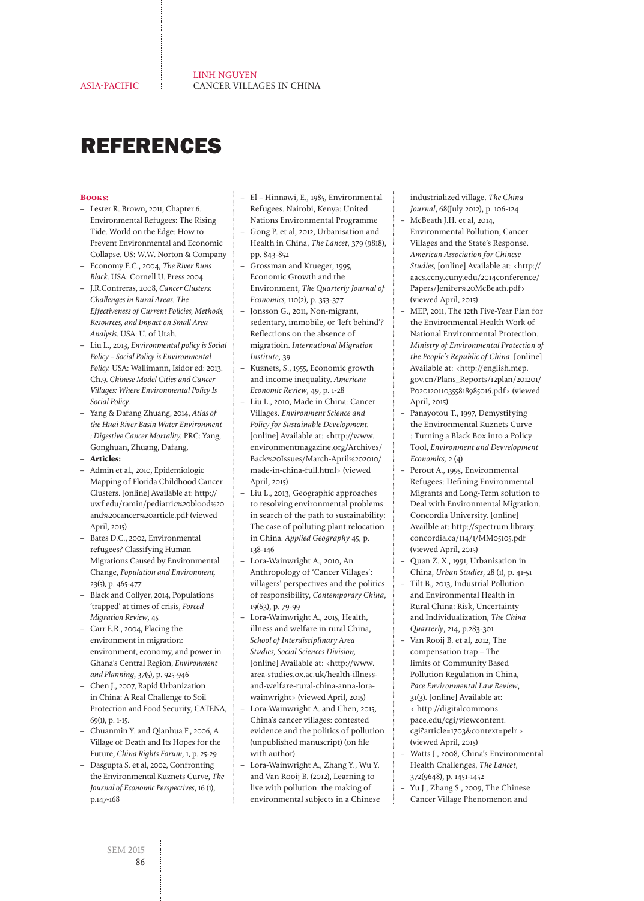## REFERENCES

#### **Books:**

- Lester R. Brown, 2011, Chapter 6. Environmental Refugees: The Rising Tide. World on the Edge: How to Prevent Environmental and Economic Collapse. US: W.W. Norton & Company
- Economy E.C., 2004, The River Runs Black. USA: Cornell U. Press 2004.
- J.R.Contreras, 2008, Cancer Clusters: Challenges in Rural Areas. The Effectiveness of Current Policies, Methods, Resources, and Impact on Small Area Analysis. USA: U. of Utah.
- Liu L., 2013, Environmental policy is Social Policy – Social Policy is Environmental Policy. USA: Wallimann, Isidor ed: 2013. Ch.9. Chinese Model Cities and Cancer Villages: Where Environmental Policy Is Social Policy.
- Yang & Dafang Zhuang, 2014, Atlas of the Huai River Basin Water Environment : Digestive Cancer Mortality. PRC: Yang, Gonghuan, Zhuang, Dafang.
- **Articles:**
- Admin et al., 2010, Epidemiologic Mapping of Florida Childhood Cancer Clusters. [online] Available at: [http://](http://uwf.edu/ramin/pediatric%20blood%20and%20cancer%20article.pdf) [uwf.edu/ramin/pediatric%20blood%20](http://uwf.edu/ramin/pediatric%20blood%20and%20cancer%20article.pdf) [and%20cancer%20article.pdf](http://uwf.edu/ramin/pediatric%20blood%20and%20cancer%20article.pdf) (viewed April, 2015)
- Bates D.C., 2002, Environmental refugees? Classifying Human Migrations Caused by Environmental Change, Population and Environment, 23(5), p. 465-477
- Black and Collyer, 2014, Populations 'trapped' at times of crisis, Forced Migration Review, 45
- Carr E.R., 2004, Placing the environment in migration: environment, economy, and power in Ghana's Central Region, Environment and Planning, 37(5), p. 925-946
- Chen J., 2007, Rapid Urbanization in China: A Real Challenge to Soil Protection and Food Security, CATENA, 69(1), p. 1-15.
- Chuanmin Y. and Qianhua F., 2006, A Village of Death and Its Hopes for the Future, China Rights Forum, 1, p. 25-29
- Dasgupta S. et al, 2002, Confronting the Environmental Kuznets Curve, The Journal of Economic Perspectives, 16 (1), p.147-168
- El Hinnawi, E., 1985, Environmental Refugees. Nairobi, Kenya: United Nations Environmental Programme
- Gong P. et al, 2012, Urbanisation and Health in China, The Lancet, 379 (9818), pp. 843-852
- Grossman and Krueger, 1995, Economic Growth and the Environment, The Quarterly Journal of Economics, 110(2), p. 353-377
- Jonsson G., 2011, Non-migrant, sedentary, immobile, or 'left behind'? Reflections on the absence of migratioin. International Migration Institute, 39
- Kuznets, S., 1955, Economic growth and income inequality. American Economic Review, 49, p. 1-28
- Liu L., 2010, Made in China: Cancer Villages. Environment Science and Policy for Sustainable Development. [online] Available at: <[http://www.](http://www.environmentmagazine.org/Archives/Back%20Issues/March-April%202010/made-in-china-full.html) [environmentmagazine.org/Archives/](http://www.environmentmagazine.org/Archives/Back%20Issues/March-April%202010/made-in-china-full.html) [Back%20Issues/March-April%202010/](http://www.environmentmagazine.org/Archives/Back%20Issues/March-April%202010/made-in-china-full.html) [made-in-china-full.html](http://www.environmentmagazine.org/Archives/Back%20Issues/March-April%202010/made-in-china-full.html)> (viewed April, 2015)
- Liu L., 2013, Geographic approaches to resolving environmental problems in search of the path to sustainability: The case of polluting plant relocation in China. Applied Geography 45, p. 138-146
- Lora-Wainwright A., 2010, An Anthropology of 'Cancer Villages': villagers' perspectives and the politics of responsibility, Contemporary China, 19(63), p. 79-99
- Lora-Wainwright A., 2015, Health, illness and welfare in rural China, School of Interdisciplinary Area Studies, Social Sciences Division, [online] Available at: <[http://www.](http://www.area-studies.ox.ac.uk/health-illness-and-welfare-rural-china-anna-lora-wainwright) [area-studies.ox.ac.uk/health-illness](http://www.area-studies.ox.ac.uk/health-illness-and-welfare-rural-china-anna-lora-wainwright)[and-welfare-rural-china-anna-lora](http://www.area-studies.ox.ac.uk/health-illness-and-welfare-rural-china-anna-lora-wainwright)[wainwright>](http://www.area-studies.ox.ac.uk/health-illness-and-welfare-rural-china-anna-lora-wainwright) (viewed April, 2015)
- Lora-Wainwright A. and Chen, 2015, China's cancer villages: contested evidence and the politics of pollution (unpublished manuscript) (on file with author)
- Lora-Wainwright A., Zhang Y., Wu Y. and Van Rooij B. (2012), [Learning to](http://dx.doi.org/10.1086/666582)  [live with pollution: the making of](http://dx.doi.org/10.1086/666582)  [environmental subjects in a Chinese](http://dx.doi.org/10.1086/666582)

[industrialized village.](http://dx.doi.org/10.1086/666582) The China Journal, 68(July 2012), p. 106-124

- McBeath J.H. et al, 2014, Environmental Pollution, Cancer Villages and the State's Response. American Association for Chinese Studies, [online] Available at: <[http://](http://aacs.ccny.cuny.edu/2014conference/Papers/Jenifer%20McBeath.pdf) [aacs.ccny.cuny.edu/2014conference/](http://aacs.ccny.cuny.edu/2014conference/Papers/Jenifer%20McBeath.pdf) [Papers/Jenifer%20McBeath.pdf>](http://aacs.ccny.cuny.edu/2014conference/Papers/Jenifer%20McBeath.pdf) (viewed April, 2015)
- MEP, 2011, The 12th Five-Year Plan for the Environmental Health Work of National Environmental Protection. Ministry of Environmental Protection of the People's Republic of China. [online] Available at: <http://english.mep. gov.cn/Plans\_Reports/12plan/201201/ P020120110355818985016.pdf> (viewed April, 2015)
- Panayotou T., 1997, Demystifying the Environmental Kuznets Curve : Turning a Black Box into a Policy Tool, Environment and Devvelopment Economics, 2 (4)
- Perout A., 1995, Environmental Refugees: Defining Environmental Migrants and Long-Term solution to Deal with Environmental Migration. Concordia University. [online] Availble at: [http://spectrum.library.](http://spectrum.library.concordia.ca/114/1/MM05105.pdf) [concordia.ca/114/1/MM05105.pdf](http://spectrum.library.concordia.ca/114/1/MM05105.pdf) (viewed April, 2015)
- Quan Z. X., 1991, Urbanisation in China, Urban Studies, 28 (1), p. 41-51
- Tilt B., 2013, Industrial Pollution and Environmental Health in Rural China: Risk, Uncertainty and Individualization, The China Quarterly, 214, p.283-301
- Van Rooij B. et al, 2012, The compensation trap – The limits of Community Based Pollution Regulation in China, Pace Environmental Law Review, 31(3). [online] Available at: < http://digitalcommons. pace.edu/cgi/viewcontent. cgi?article=1703&context=pelr > (viewed April, 2015)
- Watts J., 2008, China's Environmental Health Challenges, The Lancet, 372(9648), p. 1451-1452
- Yu J., Zhang S., 2009, The Chinese
- Cancer Village Phenomenon and